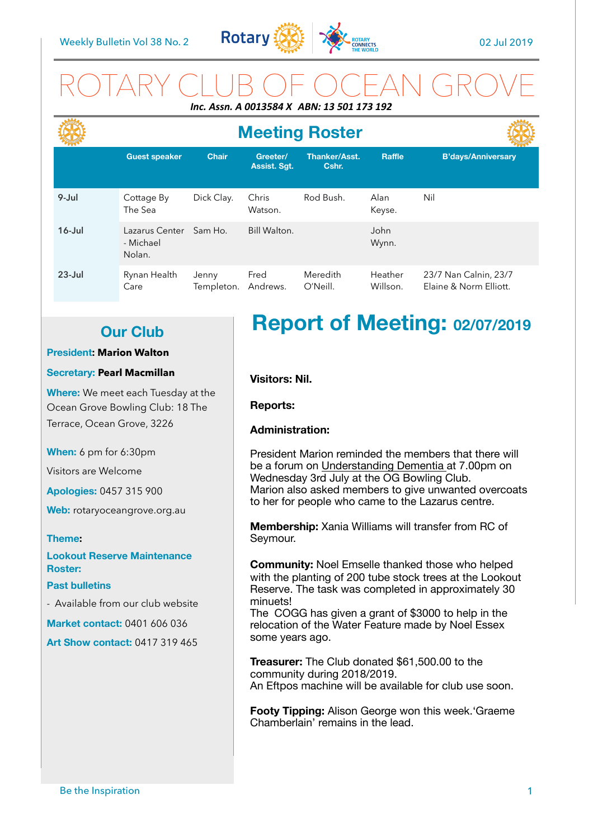

## ROTARY CLUB OF OCEAN GROVE *Inc. Assn. A 0013584 X ABN: 13 501 173 192*

|            | <b>Meeting Roster</b>                 |                     |                          |                               |                     |                                                 |
|------------|---------------------------------------|---------------------|--------------------------|-------------------------------|---------------------|-------------------------------------------------|
|            | <b>Guest speaker</b>                  | <b>Chair</b>        | Greeter/<br>Assist. Sgt. | <b>Thanker/Asst.</b><br>Cshr. | Raffle              | <b>B'days/Anniversary</b>                       |
| $9 -$ Jul  | Cottage By<br>The Sea                 | Dick Clay.          | Chris<br>Watson.         | Rod Bush.                     | Alan<br>Keyse.      | Nil                                             |
| $16$ -Jul  | Lazarus Center<br>- Michael<br>Nolan. | Sam Ho.             | Bill Walton.             |                               | John<br>Wynn.       |                                                 |
| $23 -$ Jul | Rynan Health<br>Care                  | Jenny<br>Templeton. | Fred<br>Andrews.         | Meredith<br>O'Neill.          | Heather<br>Willson. | 23/7 Nan Calnin, 23/7<br>Elaine & Norm Elliott. |

### **Our Club**

### **President: Marion Walton**

### **Secretary: Pearl Macmillan**

**Where:** We meet each Tuesday at the Ocean Grove Bowling Club: 18 The Terrace, Ocean Grove, 3226

**When:** 6 pm for 6:30pm

Visitors are Welcome

**Apologies:** 0457 315 900

**Web:** rotaryoceangrove.org.au

#### **Theme:**

**Lookout Reserve Maintenance Roster:** 

**Past bulletins** 

- Available from our club website

**Market contact:** 0401 606 036

**Art Show contact:** 0417 319 465

# **Report of Meeting: 02/07/2019**

**Visitors: Nil.** 

**Reports:** 

### **Administration:**

President Marion reminded the members that there will be a forum on Understanding Dementia at 7.00pm on Wednesday 3rd July at the OG Bowling Club. Marion also asked members to give unwanted overcoats to her for people who came to the Lazarus centre.

**Membership:** Xania Williams will transfer from RC of Seymour.

**Community:** Noel Emselle thanked those who helped with the planting of 200 tube stock trees at the Lookout Reserve. The task was completed in approximately 30 minuets!

The COGG has given a grant of \$3000 to help in the relocation of the Water Feature made by Noel Essex some years ago.

**Treasurer:** The Club donated \$61,500.00 to the community during 2018/2019. An Eftpos machine will be available for club use soon.

**Footy Tipping:** Alison George won this week.'Graeme Chamberlain' remains in the lead.